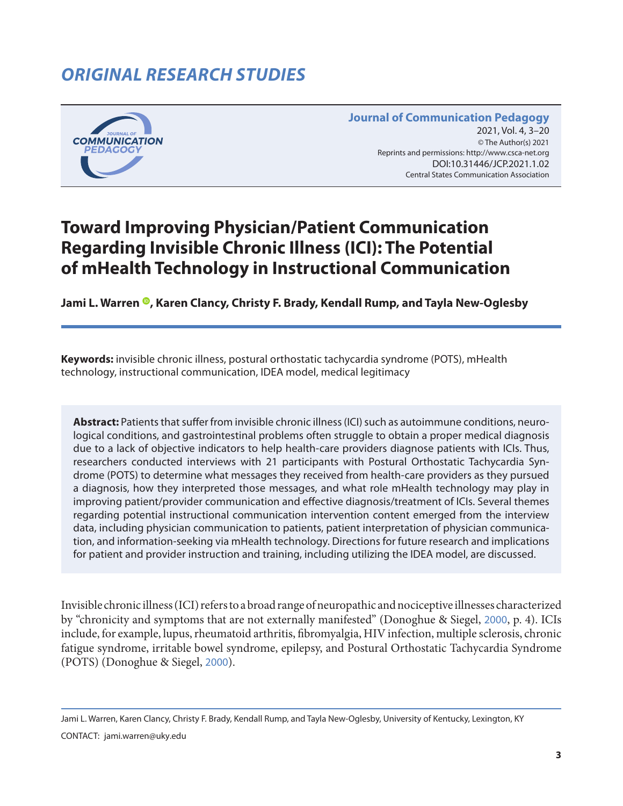# *ORIGINAL RESEARCH STUDIES*



**Journal of Communication Pedagogy** 2021, Vol. 4, 3-20 © The Author(s) 2021 Reprints and permissions: <http://www.csca-net.org> 2021, Vol. 4, 3–202021Reprints and permissions:<http://www.csca-net.org> DOI:10.31446/JCP.2021.1.02 Central States Communication Association Central States Communication Association

# **Toward Improving Physician/Patient Communication Regarding Invisible Chronic Illness (ICI): The Potential of mHealth Technology in Instructional Communication**

**Jami L. Warren** <sup>®</sup>, Karen Clancy, Christy F. Brady, Kendall Rump, and Tayla New-Oglesby

**Keywords:** invisible chronic illness, postural orthostatic tachycardia syndrome (POTS), mHealth technology, instructional communication, IDEA model, medical legitimacy

**Abstract:** Patients that suffer from invisible chronic illness (ICI) such as autoimmune conditions, neurological conditions, and gastrointestinal problems often struggle to obtain a proper medical diagnosis due to a lack of objective indicators to help health-care providers diagnose patients with ICIs. Thus, researchers conducted interviews with 21 participants with Postural Orthostatic Tachycardia Syndrome (POTS) to determine what messages they received from health-care providers as they pursued a diagnosis, how they interpreted those messages, and what role mHealth technology may play in improving patient/provider communication and effective diagnosis/treatment of ICIs. Several themes regarding potential instructional communication intervention content emerged from the interview data, including physician communication to patients, patient interpretation of physician communication, and information-seeking via mHealth technology. Directions for future research and implications for patient and provider instruction and training, including utilizing the IDEA model, are discussed.

Invisible chronic illness (ICI) refers to a broad range of neuropathic and nociceptive illnesses characterized by "chronicity and symptoms that are not externally manifested" (Donoghue & Siegel, [2000](#page-15-0), p. 4). ICIs include, for example, lupus, rheumatoid arthritis, fibromyalgia, HIV infection, multiple sclerosis, chronic fatigue syndrome, irritable bowel syndrome, epilepsy, and Postural Orthostatic Tachycardia Syndrome (POTS) (Donoghue & Siegel, [2000](#page-15-0)).

Jami L. Warren, Karen Clancy, Christy F. Brady, Kendall Rump, and Tayla New-Oglesby, University of Kentucky, Lexington, KY

CONTACT: jami.warren@uky.edu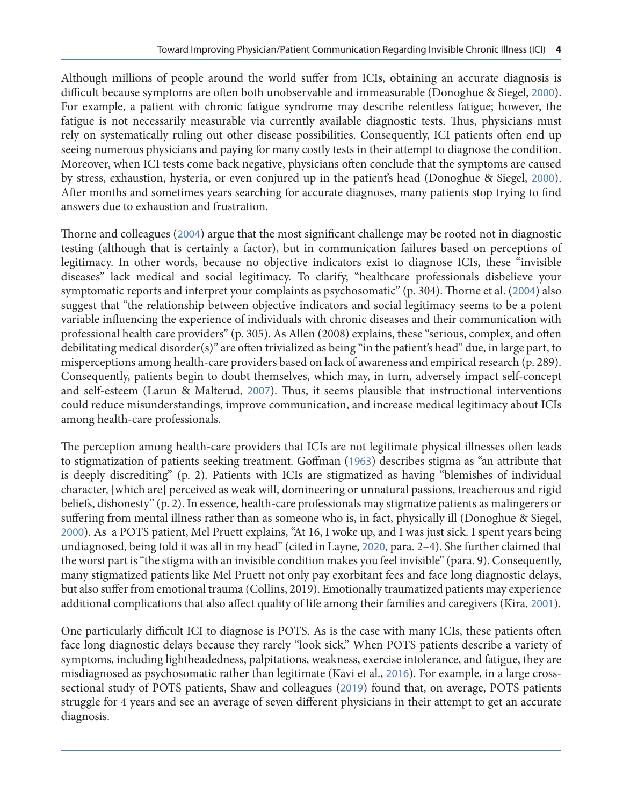Although millions of people around the world suffer from ICIs, obtaining an accurate diagnosis is difficult because symptoms are often both unobservable and immeasurable (Donoghue & Siegel, [2000](#page-15-0)). For example, a patient with chronic fatigue syndrome may describe relentless fatigue; however, the fatigue is not necessarily measurable via currently available diagnostic tests. Thus, physicians must rely on systematically ruling out other disease possibilities. Consequently, ICI patients often end up seeing numerous physicians and paying for many costly tests in their attempt to diagnose the condition. Moreover, when ICI tests come back negative, physicians often conclude that the symptoms are caused by stress, exhaustion, hysteria, or even conjured up in the patient's head (Donoghue & Siegel, [2000](#page-15-0)). After months and sometimes years searching for accurate diagnoses, many patients stop trying to find answers due to exhaustion and frustration.

Thorne and colleagues ([2004](#page-17-0)) argue that the most significant challenge may be rooted not in diagnostic testing (although that is certainly a factor), but in communication failures based on perceptions of legitimacy. In other words, because no objective indicators exist to diagnose ICIs, these "invisible diseases" lack medical and social legitimacy. To clarify, "healthcare professionals disbelieve your symptomatic reports and interpret your complaints as psychosomatic" (p. 304). Thorne et al. ([2004](#page-17-0)) also suggest that "the relationship between objective indicators and social legitimacy seems to be a potent variable influencing the experience of individuals with chronic diseases and their communication with professional health care providers" (p. 305). As Allen (2008) explains, these "serious, complex, and often debilitating medical disorder(s)" are often trivialized as being "in the patient's head" due, in large part, to misperceptions among health-care providers based on lack of awareness and empirical research (p. 289). Consequently, patients begin to doubt themselves, which may, in turn, adversely impact self-concept and self-esteem (Larun & Malterud, [2007](#page-16-0)). Thus, it seems plausible that instructional interventions could reduce misunderstandings, improve communication, and increase medical legitimacy about ICIs among health-care professionals.

The perception among health-care providers that ICIs are not legitimate physical illnesses often leads to stigmatization of patients seeking treatment. Goffman ([1963](#page-16-0)) describes stigma as "an attribute that is deeply discrediting" (p. 2). Patients with ICIs are stigmatized as having "blemishes of individual character, [which are] perceived as weak will, domineering or unnatural passions, treacherous and rigid beliefs, dishonesty" (p. 2). In essence, health-care professionals may stigmatize patients as malingerers or suffering from mental illness rather than as someone who is, in fact, physically ill (Donoghue & Siegel, [2000](#page-15-0)). As a POTS patient, Mel Pruett explains, "At 16, I woke up, and I was just sick. I spent years being undiagnosed, being told it was all in my head" (cited in Layne, [2020](#page-16-0), para. 2–4). She further claimed that the worst part is "the stigma with an invisible condition makes you feel invisible" (para. 9). Consequently, many stigmatized patients like Mel Pruett not only pay exorbitant fees and face long diagnostic delays, but also suffer from emotional trauma (Collins, 2019). Emotionally traumatized patients may experience additional complications that also affect quality of life among their families and caregivers (Kira, [2001](#page-16-0)).

One particularly difficult ICI to diagnose is POTS. As is the case with many ICIs, these patients often face long diagnostic delays because they rarely "look sick." When POTS patients describe a variety of symptoms, including lightheadedness, palpitations, weakness, exercise intolerance, and fatigue, they are misdiagnosed as psychosomatic rather than legitimate (Kavi et al., [2016](#page-16-0)). For example, in a large crosssectional study of POTS patients, Shaw and colleagues ([2019](#page-17-0)) found that, on average, POTS patients struggle for 4 years and see an average of seven different physicians in their attempt to get an accurate diagnosis.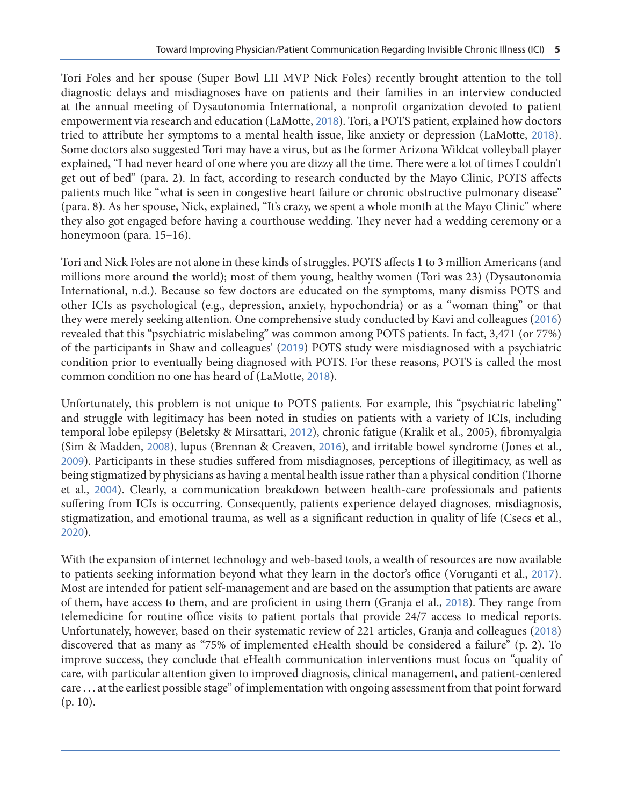Tori Foles and her spouse (Super Bowl LII MVP Nick Foles) recently brought attention to the toll diagnostic delays and misdiagnoses have on patients and their families in an interview conducted at the annual meeting of Dysautonomia International, a nonprofit organization devoted to patient empowerment via research and education (LaMotte, [2018](#page-16-0)). Tori, a POTS patient, explained how doctors tried to attribute her symptoms to a mental health issue, like anxiety or depression (LaMotte, [2018](#page-16-0)). Some doctors also suggested Tori may have a virus, but as the former Arizona Wildcat volleyball player explained, "I had never heard of one where you are dizzy all the time. There were a lot of times I couldn't get out of bed" (para. 2). In fact, according to research conducted by the Mayo Clinic, POTS affects patients much like "what is seen in congestive heart failure or chronic obstructive pulmonary disease" (para. 8). As her spouse, Nick, explained, "It's crazy, we spent a whole month at the Mayo Clinic" where they also got engaged before having a courthouse wedding. They never had a wedding ceremony or a honeymoon (para. 15–16).

Tori and Nick Foles are not alone in these kinds of struggles. POTS affects 1 to 3 million Americans (and millions more around the world); most of them young, healthy women (Tori was 23) (Dysautonomia International, n.d.). Because so few doctors are educated on the symptoms, many dismiss POTS and other ICIs as psychological (e.g., depression, anxiety, hypochondria) or as a "woman thing" or that they were merely seeking attention. One comprehensive study conducted by Kavi and colleagues ([2016](#page-16-0)) revealed that this "psychiatric mislabeling" was common among POTS patients. In fact, 3,471 (or 77%) of the participants in Shaw and colleagues' ([2019](#page-17-0)) POTS study were misdiagnosed with a psychiatric condition prior to eventually being diagnosed with POTS. For these reasons, POTS is called the most common condition no one has heard of (LaMotte, [2018](#page-16-0)).

Unfortunately, this problem is not unique to POTS patients. For example, this "psychiatric labeling" and struggle with legitimacy has been noted in studies on patients with a variety of ICIs, including temporal lobe epilepsy (Beletsky & Mirsattari, [2012](#page-15-0)), chronic fatigue (Kralik et al., 2005), fibromyalgia (Sim & Madden, [2008](#page-17-0)), lupus (Brennan & Creaven, [2016](#page-15-0)), and irritable bowel syndrome (Jones et al., [2009](#page-16-0)). Participants in these studies suffered from misdiagnoses, perceptions of illegitimacy, as well as being stigmatized by physicians as having a mental health issue rather than a physical condition (Thorne et al., [2004](#page-17-0)). Clearly, a communication breakdown between health-care professionals and patients suffering from ICIs is occurring. Consequently, patients experience delayed diagnoses, misdiagnosis, stigmatization, and emotional trauma, as well as a significant reduction in quality of life (Csecs et al., [2020](#page-15-0)).

With the expansion of internet technology and web-based tools, a wealth of resources are now available to patients seeking information beyond what they learn in the doctor's office (Voruganti et al., [2017](#page-17-0)). Most are intended for patient self-management and are based on the assumption that patients are aware of them, have access to them, and are proficient in using them (Granja et al., [2018](#page-16-0)). They range from telemedicine for routine office visits to patient portals that provide 24/7 access to medical reports. Unfortunately, however, based on their systematic review of 221 articles, Granja and colleagues ([2018](#page-16-0)) discovered that as many as "75% of implemented eHealth should be considered a failure" (p. 2). To improve success, they conclude that eHealth communication interventions must focus on "quality of care, with particular attention given to improved diagnosis, clinical management, and patient-centered care . . . at the earliest possible stage" of implementation with ongoing assessment from that point forward (p. 10).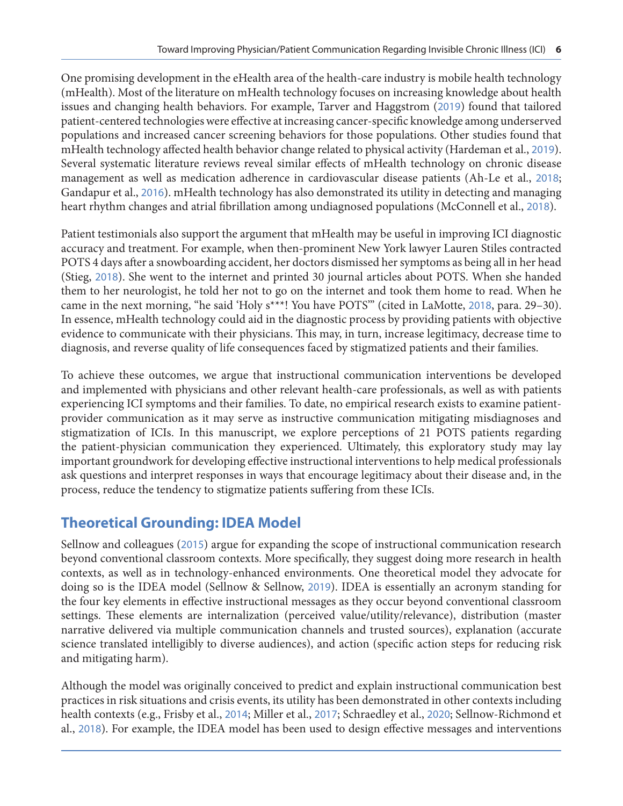One promising development in the eHealth area of the health-care industry is mobile health technology (mHealth). Most of the literature on mHealth technology focuses on increasing knowledge about health issues and changing health behaviors. For example, Tarver and Haggstrom ([2019](#page-17-0)) found that tailored patient-centered technologies were effective at increasing cancer-specific knowledge among underserved populations and increased cancer screening behaviors for those populations. Other studies found that mHealth technology affected health behavior change related to physical activity (Hardeman et al., [2019](#page-16-0)). Several systematic literature reviews reveal similar effects of mHealth technology on chronic disease management as well as medication adherence in cardiovascular disease patients (Ah-Le et al., [2018](#page-15-0); Gandapur et al., [2016](#page-16-0)). mHealth technology has also demonstrated its utility in detecting and managing heart rhythm changes and atrial fibrillation among undiagnosed populations (McConnell et al., [2018](#page-16-0)).

Patient testimonials also support the argument that mHealth may be useful in improving ICI diagnostic accuracy and treatment. For example, when then-prominent New York lawyer Lauren Stiles contracted POTS 4 days after a snowboarding accident, her doctors dismissed her symptoms as being all in her head (Stieg, [2018](#page-17-0)). She went to the internet and printed 30 journal articles about POTS. When she handed them to her neurologist, he told her not to go on the internet and took them home to read. When he came in the next morning, "he said 'Holy s\*\*\*! You have POTS'" (cited in LaMotte, [2018](#page-16-0), para. 29–30). In essence, mHealth technology could aid in the diagnostic process by providing patients with objective evidence to communicate with their physicians. This may, in turn, increase legitimacy, decrease time to diagnosis, and reverse quality of life consequences faced by stigmatized patients and their families.

To achieve these outcomes, we argue that instructional communication interventions be developed and implemented with physicians and other relevant health-care professionals, as well as with patients experiencing ICI symptoms and their families. To date, no empirical research exists to examine patientprovider communication as it may serve as instructive communication mitigating misdiagnoses and stigmatization of ICIs. In this manuscript, we explore perceptions of 21 POTS patients regarding the patient-physician communication they experienced. Ultimately, this exploratory study may lay important groundwork for developing effective instructional interventions to help medical professionals ask questions and interpret responses in ways that encourage legitimacy about their disease and, in the process, reduce the tendency to stigmatize patients suffering from these ICIs.

# **Theoretical Grounding: IDEA Model**

Sellnow and colleagues ([2015](#page-17-0)) argue for expanding the scope of instructional communication research beyond conventional classroom contexts. More specifically, they suggest doing more research in health contexts, as well as in technology-enhanced environments. One theoretical model they advocate for doing so is the IDEA model (Sellnow & Sellnow, [2019](#page-17-0)). IDEA is essentially an acronym standing for the four key elements in effective instructional messages as they occur beyond conventional classroom settings. These elements are internalization (perceived value/utility/relevance), distribution (master narrative delivered via multiple communication channels and trusted sources), explanation (accurate science translated intelligibly to diverse audiences), and action (specific action steps for reducing risk and mitigating harm).

Although the model was originally conceived to predict and explain instructional communication best practices in risk situations and crisis events, its utility has been demonstrated in other contexts including health contexts (e.g., Frisby et al., [2014](#page-16-0); Miller et al., [2017](#page-16-0); Schraedley et al., [2020](#page-17-0); Sellnow-Richmond et al., [2018](#page-17-0)). For example, the IDEA model has been used to design effective messages and interventions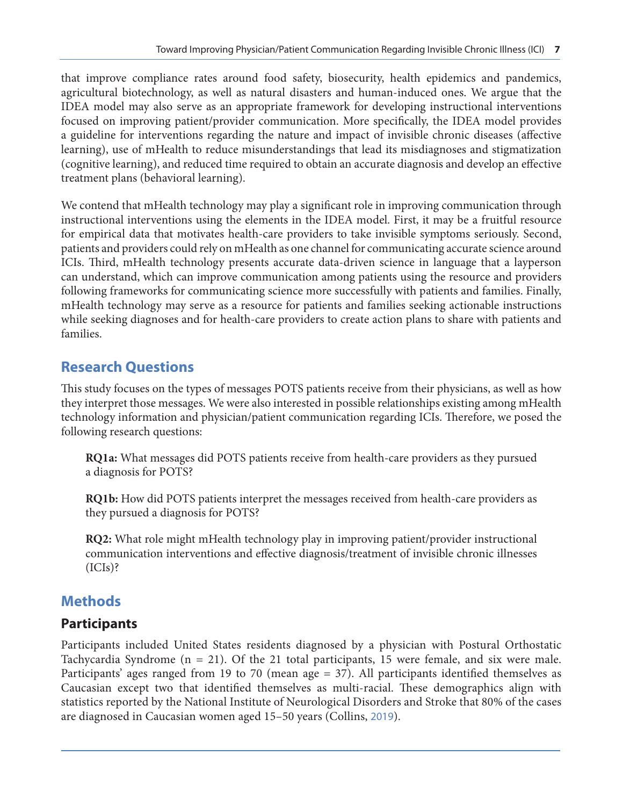that improve compliance rates around food safety, biosecurity, health epidemics and pandemics, agricultural biotechnology, as well as natural disasters and human-induced ones. We argue that the IDEA model may also serve as an appropriate framework for developing instructional interventions focused on improving patient/provider communication. More specifically, the IDEA model provides a guideline for interventions regarding the nature and impact of invisible chronic diseases (affective learning), use of mHealth to reduce misunderstandings that lead its misdiagnoses and stigmatization (cognitive learning), and reduced time required to obtain an accurate diagnosis and develop an effective treatment plans (behavioral learning).

We contend that mHealth technology may play a significant role in improving communication through instructional interventions using the elements in the IDEA model. First, it may be a fruitful resource for empirical data that motivates health-care providers to take invisible symptoms seriously. Second, patients and providers could rely on mHealth as one channel for communicating accurate science around ICIs. Third, mHealth technology presents accurate data-driven science in language that a layperson can understand, which can improve communication among patients using the resource and providers following frameworks for communicating science more successfully with patients and families. Finally, mHealth technology may serve as a resource for patients and families seeking actionable instructions while seeking diagnoses and for health-care providers to create action plans to share with patients and families.

# **Research Questions**

This study focuses on the types of messages POTS patients receive from their physicians, as well as how they interpret those messages. We were also interested in possible relationships existing among mHealth technology information and physician/patient communication regarding ICIs. Therefore, we posed the following research questions:

**RQ1a:** What messages did POTS patients receive from health-care providers as they pursued a diagnosis for POTS?

**RQ1b:** How did POTS patients interpret the messages received from health-care providers as they pursued a diagnosis for POTS?

**RQ2:** What role might mHealth technology play in improving patient/provider instructional communication interventions and effective diagnosis/treatment of invisible chronic illnesses  $(ICIs)?$ 

# **Methods**

# **Participants**

Participants included United States residents diagnosed by a physician with Postural Orthostatic Tachycardia Syndrome (n = 21). Of the 21 total participants, 15 were female, and six were male. Participants' ages ranged from 19 to 70 (mean age = 37). All participants identified themselves as Caucasian except two that identified themselves as multi-racial. These demographics align with statistics reported by the National Institute of Neurological Disorders and Stroke that 80% of the cases are diagnosed in Caucasian women aged 15–50 years (Collins, [2019](#page-15-0)).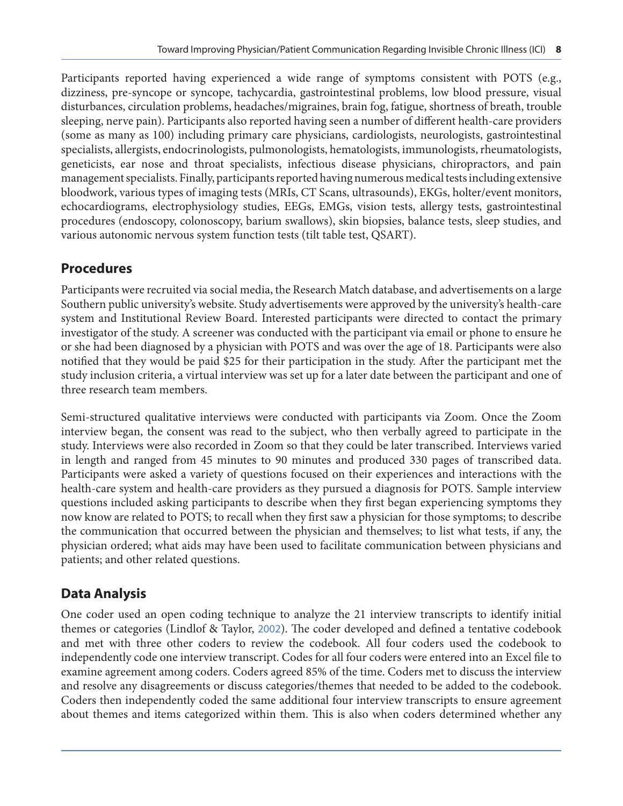Participants reported having experienced a wide range of symptoms consistent with POTS (e.g., dizziness, pre-syncope or syncope, tachycardia, gastrointestinal problems, low blood pressure, visual disturbances, circulation problems, headaches/migraines, brain fog, fatigue, shortness of breath, trouble sleeping, nerve pain). Participants also reported having seen a number of different health-care providers (some as many as 100) including primary care physicians, cardiologists, neurologists, gastrointestinal specialists, allergists, endocrinologists, pulmonologists, hematologists, immunologists, rheumatologists, geneticists, ear nose and throat specialists, infectious disease physicians, chiropractors, and pain management specialists. Finally, participants reported having numerous medical tests including extensive bloodwork, various types of imaging tests (MRIs, CT Scans, ultrasounds), EKGs, holter/event monitors, echocardiograms, electrophysiology studies, EEGs, EMGs, vision tests, allergy tests, gastrointestinal procedures (endoscopy, colonoscopy, barium swallows), skin biopsies, balance tests, sleep studies, and various autonomic nervous system function tests (tilt table test, QSART).

## **Procedures**

Participants were recruited via social media, the Research Match database, and advertisements on a large Southern public university's website. Study advertisements were approved by the university's health-care system and Institutional Review Board. Interested participants were directed to contact the primary investigator of the study. A screener was conducted with the participant via email or phone to ensure he or she had been diagnosed by a physician with POTS and was over the age of 18. Participants were also notified that they would be paid \$25 for their participation in the study. After the participant met the study inclusion criteria, a virtual interview was set up for a later date between the participant and one of three research team members.

Semi-structured qualitative interviews were conducted with participants via Zoom. Once the Zoom interview began, the consent was read to the subject, who then verbally agreed to participate in the study. Interviews were also recorded in Zoom so that they could be later transcribed. Interviews varied in length and ranged from 45 minutes to 90 minutes and produced 330 pages of transcribed data. Participants were asked a variety of questions focused on their experiences and interactions with the health-care system and health-care providers as they pursued a diagnosis for POTS. Sample interview questions included asking participants to describe when they first began experiencing symptoms they now know are related to POTS; to recall when they first saw a physician for those symptoms; to describe the communication that occurred between the physician and themselves; to list what tests, if any, the physician ordered; what aids may have been used to facilitate communication between physicians and patients; and other related questions.

# **Data Analysis**

One coder used an open coding technique to analyze the 21 interview transcripts to identify initial themes or categories (Lindlof & Taylor, [2002](#page-16-0)). The coder developed and defined a tentative codebook and met with three other coders to review the codebook. All four coders used the codebook to independently code one interview transcript. Codes for all four coders were entered into an Excel file to examine agreement among coders. Coders agreed 85% of the time. Coders met to discuss the interview and resolve any disagreements or discuss categories/themes that needed to be added to the codebook. Coders then independently coded the same additional four interview transcripts to ensure agreement about themes and items categorized within them. This is also when coders determined whether any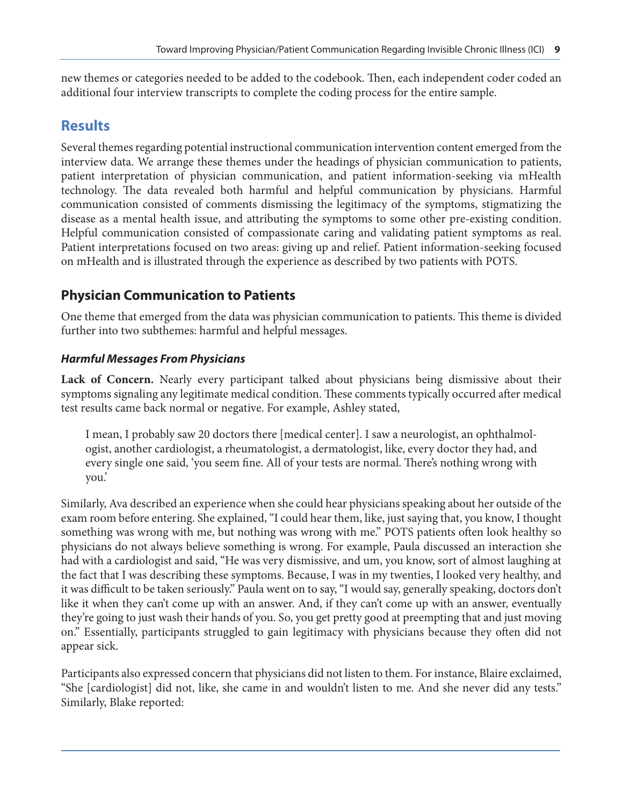new themes or categories needed to be added to the codebook. Then, each independent coder coded an additional four interview transcripts to complete the coding process for the entire sample.

### **Results**

Several themes regarding potential instructional communication intervention content emerged from the interview data. We arrange these themes under the headings of physician communication to patients, patient interpretation of physician communication, and patient information-seeking via mHealth technology. The data revealed both harmful and helpful communication by physicians. Harmful communication consisted of comments dismissing the legitimacy of the symptoms, stigmatizing the disease as a mental health issue, and attributing the symptoms to some other pre-existing condition. Helpful communication consisted of compassionate caring and validating patient symptoms as real. Patient interpretations focused on two areas: giving up and relief. Patient information-seeking focused on mHealth and is illustrated through the experience as described by two patients with POTS.

### **Physician Communication to Patients**

One theme that emerged from the data was physician communication to patients. This theme is divided further into two subthemes: harmful and helpful messages.

#### *Harmful Messages From Physicians*

**Lack of Concern.** Nearly every participant talked about physicians being dismissive about their symptoms signaling any legitimate medical condition. These comments typically occurred after medical test results came back normal or negative. For example, Ashley stated,

I mean, I probably saw 20 doctors there [medical center]. I saw a neurologist, an ophthalmologist, another cardiologist, a rheumatologist, a dermatologist, like, every doctor they had, and every single one said, 'you seem fine. All of your tests are normal. There's nothing wrong with you.'

Similarly, Ava described an experience when she could hear physicians speaking about her outside of the exam room before entering. She explained, "I could hear them, like, just saying that, you know, I thought something was wrong with me, but nothing was wrong with me." POTS patients often look healthy so physicians do not always believe something is wrong. For example, Paula discussed an interaction she had with a cardiologist and said, "He was very dismissive, and um, you know, sort of almost laughing at the fact that I was describing these symptoms. Because, I was in my twenties, I looked very healthy, and it was difficult to be taken seriously." Paula went on to say, "I would say, generally speaking, doctors don't like it when they can't come up with an answer. And, if they can't come up with an answer, eventually they're going to just wash their hands of you. So, you get pretty good at preempting that and just moving on." Essentially, participants struggled to gain legitimacy with physicians because they often did not appear sick.

Participants also expressed concern that physicians did not listen to them. For instance, Blaire exclaimed, "She [cardiologist] did not, like, she came in and wouldn't listen to me. And she never did any tests." Similarly, Blake reported: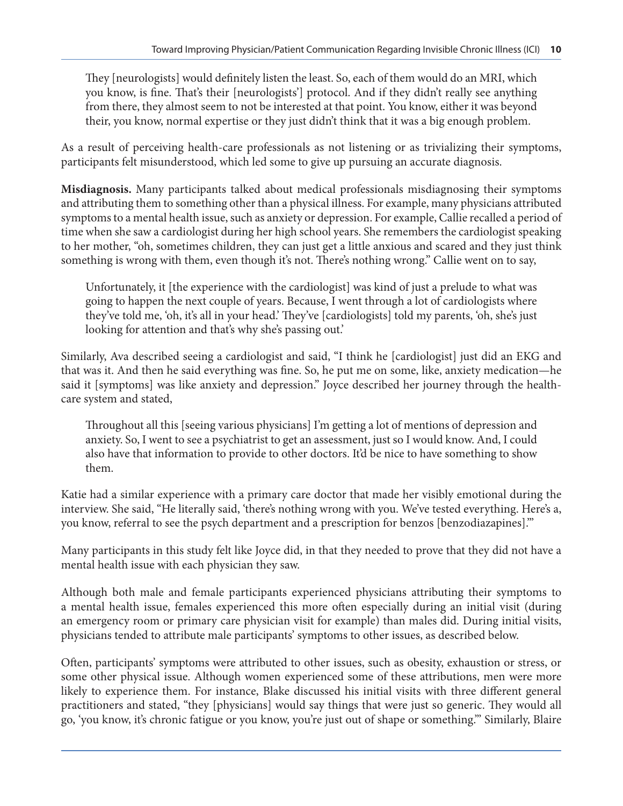They [neurologists] would definitely listen the least. So, each of them would do an MRI, which you know, is fine. That's their [neurologists'] protocol. And if they didn't really see anything from there, they almost seem to not be interested at that point. You know, either it was beyond their, you know, normal expertise or they just didn't think that it was a big enough problem.

As a result of perceiving health-care professionals as not listening or as trivializing their symptoms, participants felt misunderstood, which led some to give up pursuing an accurate diagnosis.

**Misdiagnosis.** Many participants talked about medical professionals misdiagnosing their symptoms and attributing them to something other than a physical illness. For example, many physicians attributed symptoms to a mental health issue, such as anxiety or depression. For example, Callie recalled a period of time when she saw a cardiologist during her high school years. She remembers the cardiologist speaking to her mother, "oh, sometimes children, they can just get a little anxious and scared and they just think something is wrong with them, even though it's not. There's nothing wrong." Callie went on to say,

Unfortunately, it [the experience with the cardiologist] was kind of just a prelude to what was going to happen the next couple of years. Because, I went through a lot of cardiologists where they've told me, 'oh, it's all in your head.' They've [cardiologists] told my parents, 'oh, she's just looking for attention and that's why she's passing out.'

Similarly, Ava described seeing a cardiologist and said, "I think he [cardiologist] just did an EKG and that was it. And then he said everything was fine. So, he put me on some, like, anxiety medication—he said it [symptoms] was like anxiety and depression." Joyce described her journey through the healthcare system and stated,

Throughout all this [seeing various physicians] I'm getting a lot of mentions of depression and anxiety. So, I went to see a psychiatrist to get an assessment, just so I would know. And, I could also have that information to provide to other doctors. It'd be nice to have something to show them.

Katie had a similar experience with a primary care doctor that made her visibly emotional during the interview. She said, "He literally said, 'there's nothing wrong with you. We've tested everything. Here's a, you know, referral to see the psych department and a prescription for benzos [benzodiazapines].'"

Many participants in this study felt like Joyce did, in that they needed to prove that they did not have a mental health issue with each physician they saw.

Although both male and female participants experienced physicians attributing their symptoms to a mental health issue, females experienced this more often especially during an initial visit (during an emergency room or primary care physician visit for example) than males did. During initial visits, physicians tended to attribute male participants' symptoms to other issues, as described below.

Often, participants' symptoms were attributed to other issues, such as obesity, exhaustion or stress, or some other physical issue. Although women experienced some of these attributions, men were more likely to experience them. For instance, Blake discussed his initial visits with three different general practitioners and stated, "they [physicians] would say things that were just so generic. They would all go, 'you know, it's chronic fatigue or you know, you're just out of shape or something.'" Similarly, Blaire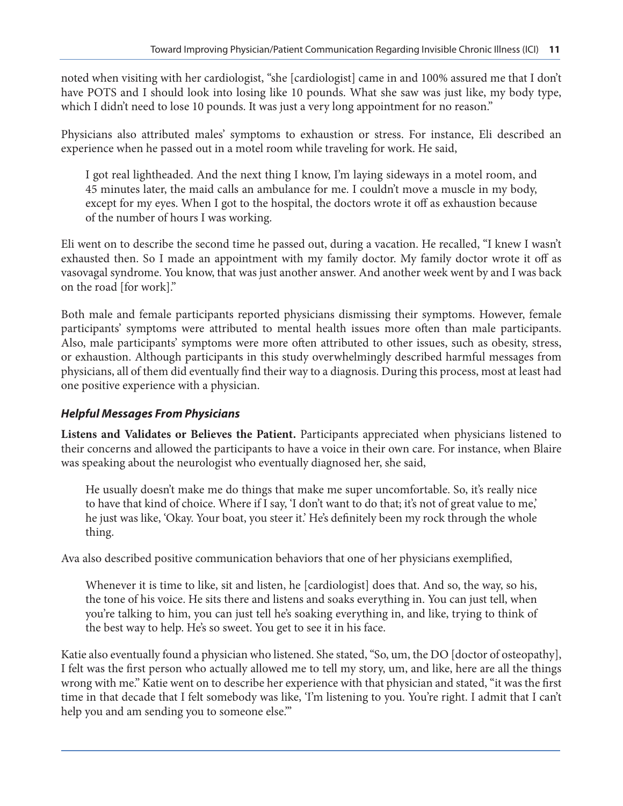noted when visiting with her cardiologist, "she [cardiologist] came in and 100% assured me that I don't have POTS and I should look into losing like 10 pounds. What she saw was just like, my body type, which I didn't need to lose 10 pounds. It was just a very long appointment for no reason."

Physicians also attributed males' symptoms to exhaustion or stress. For instance, Eli described an experience when he passed out in a motel room while traveling for work. He said,

I got real lightheaded. And the next thing I know, I'm laying sideways in a motel room, and 45 minutes later, the maid calls an ambulance for me. I couldn't move a muscle in my body, except for my eyes. When I got to the hospital, the doctors wrote it off as exhaustion because of the number of hours I was working.

Eli went on to describe the second time he passed out, during a vacation. He recalled, "I knew I wasn't exhausted then. So I made an appointment with my family doctor. My family doctor wrote it off as vasovagal syndrome. You know, that was just another answer. And another week went by and I was back on the road [for work]."

Both male and female participants reported physicians dismissing their symptoms. However, female participants' symptoms were attributed to mental health issues more often than male participants. Also, male participants' symptoms were more often attributed to other issues, such as obesity, stress, or exhaustion. Although participants in this study overwhelmingly described harmful messages from physicians, all of them did eventually find their way to a diagnosis. During this process, most at least had one positive experience with a physician.

#### *Helpful Messages From Physicians*

**Listens and Validates or Believes the Patient.** Participants appreciated when physicians listened to their concerns and allowed the participants to have a voice in their own care. For instance, when Blaire was speaking about the neurologist who eventually diagnosed her, she said,

He usually doesn't make me do things that make me super uncomfortable. So, it's really nice to have that kind of choice. Where if I say, 'I don't want to do that; it's not of great value to me,' he just was like, 'Okay. Your boat, you steer it.' He's definitely been my rock through the whole thing.

Ava also described positive communication behaviors that one of her physicians exemplified,

Whenever it is time to like, sit and listen, he [cardiologist] does that. And so, the way, so his, the tone of his voice. He sits there and listens and soaks everything in. You can just tell, when you're talking to him, you can just tell he's soaking everything in, and like, trying to think of the best way to help. He's so sweet. You get to see it in his face.

Katie also eventually found a physician who listened. She stated, "So, um, the DO [doctor of osteopathy], I felt was the first person who actually allowed me to tell my story, um, and like, here are all the things wrong with me." Katie went on to describe her experience with that physician and stated, "it was the first time in that decade that I felt somebody was like, 'I'm listening to you. You're right. I admit that I can't help you and am sending you to someone else."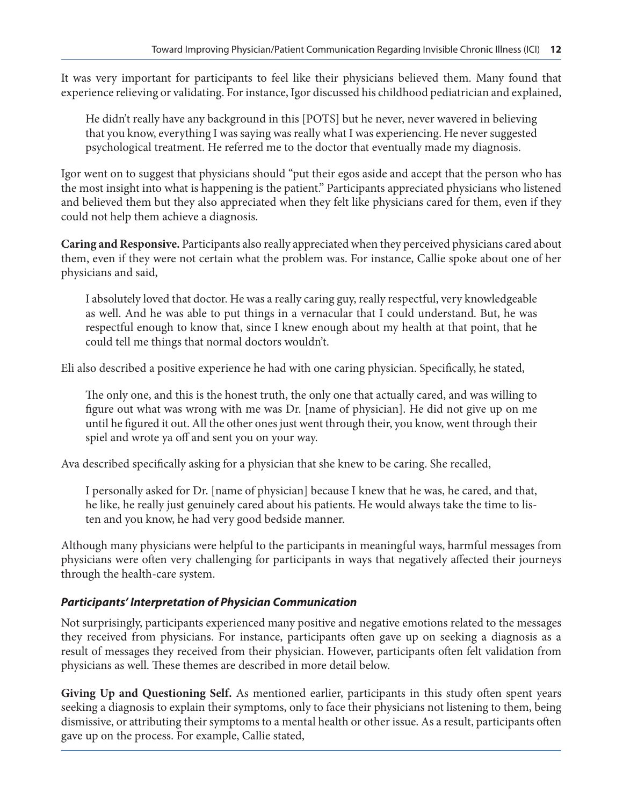It was very important for participants to feel like their physicians believed them. Many found that experience relieving or validating. For instance, Igor discussed his childhood pediatrician and explained,

He didn't really have any background in this [POTS] but he never, never wavered in believing that you know, everything I was saying was really what I was experiencing. He never suggested psychological treatment. He referred me to the doctor that eventually made my diagnosis.

Igor went on to suggest that physicians should "put their egos aside and accept that the person who has the most insight into what is happening is the patient." Participants appreciated physicians who listened and believed them but they also appreciated when they felt like physicians cared for them, even if they could not help them achieve a diagnosis.

**Caring and Responsive.** Participants also really appreciated when they perceived physicians cared about them, even if they were not certain what the problem was. For instance, Callie spoke about one of her physicians and said,

I absolutely loved that doctor. He was a really caring guy, really respectful, very knowledgeable as well. And he was able to put things in a vernacular that I could understand. But, he was respectful enough to know that, since I knew enough about my health at that point, that he could tell me things that normal doctors wouldn't.

Eli also described a positive experience he had with one caring physician. Specifically, he stated,

The only one, and this is the honest truth, the only one that actually cared, and was willing to figure out what was wrong with me was Dr. [name of physician]. He did not give up on me until he figured it out. All the other ones just went through their, you know, went through their spiel and wrote ya off and sent you on your way.

Ava described specifically asking for a physician that she knew to be caring. She recalled,

I personally asked for Dr. [name of physician] because I knew that he was, he cared, and that, he like, he really just genuinely cared about his patients. He would always take the time to listen and you know, he had very good bedside manner.

Although many physicians were helpful to the participants in meaningful ways, harmful messages from physicians were often very challenging for participants in ways that negatively affected their journeys through the health-care system.

#### *Participants' Interpretation of Physician Communication*

Not surprisingly, participants experienced many positive and negative emotions related to the messages they received from physicians. For instance, participants often gave up on seeking a diagnosis as a result of messages they received from their physician. However, participants often felt validation from physicians as well. These themes are described in more detail below.

**Giving Up and Questioning Self.** As mentioned earlier, participants in this study often spent years seeking a diagnosis to explain their symptoms, only to face their physicians not listening to them, being dismissive, or attributing their symptoms to a mental health or other issue. As a result, participants often gave up on the process. For example, Callie stated,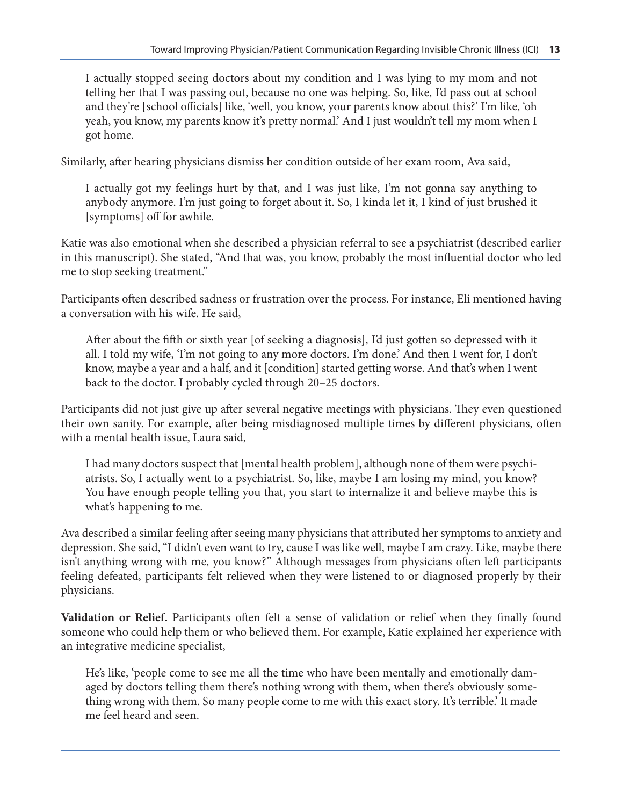I actually stopped seeing doctors about my condition and I was lying to my mom and not telling her that I was passing out, because no one was helping. So, like, I'd pass out at school and they're [school officials] like, 'well, you know, your parents know about this?' I'm like, 'oh yeah, you know, my parents know it's pretty normal.' And I just wouldn't tell my mom when I got home.

Similarly, after hearing physicians dismiss her condition outside of her exam room, Ava said,

I actually got my feelings hurt by that, and I was just like, I'm not gonna say anything to anybody anymore. I'm just going to forget about it. So, I kinda let it, I kind of just brushed it [symptoms] off for awhile.

Katie was also emotional when she described a physician referral to see a psychiatrist (described earlier in this manuscript). She stated, "And that was, you know, probably the most influential doctor who led me to stop seeking treatment."

Participants often described sadness or frustration over the process. For instance, Eli mentioned having a conversation with his wife. He said,

After about the fifth or sixth year [of seeking a diagnosis], I'd just gotten so depressed with it all. I told my wife, 'I'm not going to any more doctors. I'm done.' And then I went for, I don't know, maybe a year and a half, and it [condition] started getting worse. And that's when I went back to the doctor. I probably cycled through 20–25 doctors.

Participants did not just give up after several negative meetings with physicians. They even questioned their own sanity. For example, after being misdiagnosed multiple times by different physicians, often with a mental health issue, Laura said,

I had many doctors suspect that [mental health problem], although none of them were psychiatrists. So, I actually went to a psychiatrist. So, like, maybe I am losing my mind, you know? You have enough people telling you that, you start to internalize it and believe maybe this is what's happening to me.

Ava described a similar feeling after seeing many physicians that attributed her symptoms to anxiety and depression. She said, "I didn't even want to try, cause I was like well, maybe I am crazy. Like, maybe there isn't anything wrong with me, you know?" Although messages from physicians often left participants feeling defeated, participants felt relieved when they were listened to or diagnosed properly by their physicians.

**Validation or Relief.** Participants often felt a sense of validation or relief when they finally found someone who could help them or who believed them. For example, Katie explained her experience with an integrative medicine specialist,

He's like, 'people come to see me all the time who have been mentally and emotionally damaged by doctors telling them there's nothing wrong with them, when there's obviously something wrong with them. So many people come to me with this exact story. It's terrible.' It made me feel heard and seen.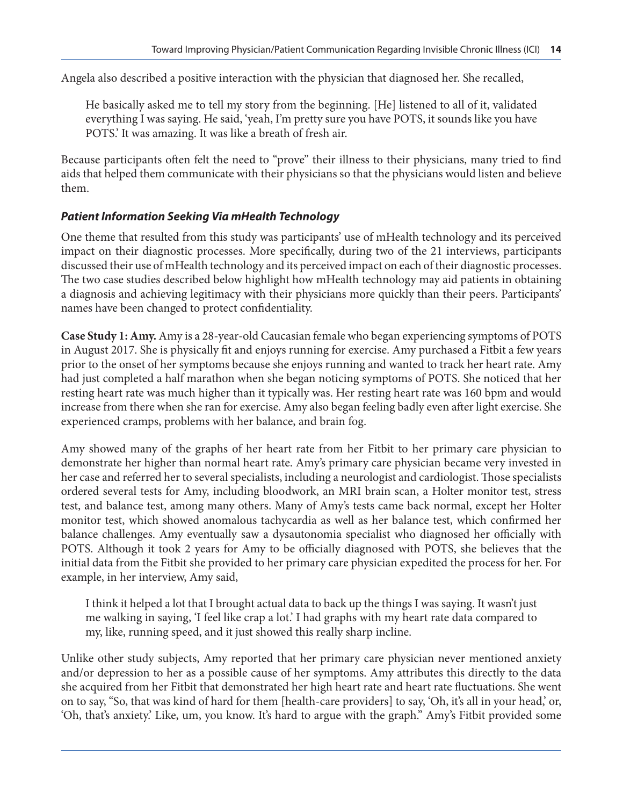Angela also described a positive interaction with the physician that diagnosed her. She recalled,

He basically asked me to tell my story from the beginning. [He] listened to all of it, validated everything I was saying. He said, 'yeah, I'm pretty sure you have POTS, it sounds like you have POTS.' It was amazing. It was like a breath of fresh air.

Because participants often felt the need to "prove" their illness to their physicians, many tried to find aids that helped them communicate with their physicians so that the physicians would listen and believe them.

#### *Patient Information Seeking Via mHealth Technology*

One theme that resulted from this study was participants' use of mHealth technology and its perceived impact on their diagnostic processes. More specifically, during two of the 21 interviews, participants discussed their use of mHealth technology and its perceived impact on each of their diagnostic processes. The two case studies described below highlight how mHealth technology may aid patients in obtaining a diagnosis and achieving legitimacy with their physicians more quickly than their peers. Participants' names have been changed to protect confidentiality.

**Case Study 1: Amy.** Amy is a 28-year-old Caucasian female who began experiencing symptoms of POTS in August 2017. She is physically fit and enjoys running for exercise. Amy purchased a Fitbit a few years prior to the onset of her symptoms because she enjoys running and wanted to track her heart rate. Amy had just completed a half marathon when she began noticing symptoms of POTS. She noticed that her resting heart rate was much higher than it typically was. Her resting heart rate was 160 bpm and would increase from there when she ran for exercise. Amy also began feeling badly even after light exercise. She experienced cramps, problems with her balance, and brain fog.

Amy showed many of the graphs of her heart rate from her Fitbit to her primary care physician to demonstrate her higher than normal heart rate. Amy's primary care physician became very invested in her case and referred her to several specialists, including a neurologist and cardiologist. Those specialists ordered several tests for Amy, including bloodwork, an MRI brain scan, a Holter monitor test, stress test, and balance test, among many others. Many of Amy's tests came back normal, except her Holter monitor test, which showed anomalous tachycardia as well as her balance test, which confirmed her balance challenges. Amy eventually saw a dysautonomia specialist who diagnosed her officially with POTS. Although it took 2 years for Amy to be officially diagnosed with POTS, she believes that the initial data from the Fitbit she provided to her primary care physician expedited the process for her. For example, in her interview, Amy said,

I think it helped a lot that I brought actual data to back up the things I was saying. It wasn't just me walking in saying, 'I feel like crap a lot.' I had graphs with my heart rate data compared to my, like, running speed, and it just showed this really sharp incline.

Unlike other study subjects, Amy reported that her primary care physician never mentioned anxiety and/or depression to her as a possible cause of her symptoms. Amy attributes this directly to the data she acquired from her Fitbit that demonstrated her high heart rate and heart rate fluctuations. She went on to say, "So, that was kind of hard for them [health-care providers] to say, 'Oh, it's all in your head,' or, 'Oh, that's anxiety.' Like, um, you know. It's hard to argue with the graph." Amy's Fitbit provided some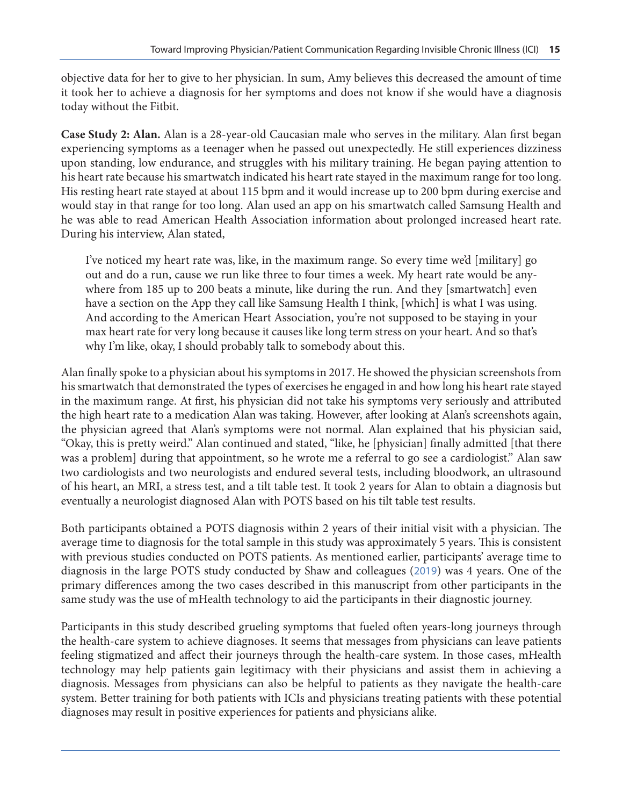objective data for her to give to her physician. In sum, Amy believes this decreased the amount of time it took her to achieve a diagnosis for her symptoms and does not know if she would have a diagnosis today without the Fitbit.

**Case Study 2: Alan.** Alan is a 28-year-old Caucasian male who serves in the military. Alan first began experiencing symptoms as a teenager when he passed out unexpectedly. He still experiences dizziness upon standing, low endurance, and struggles with his military training. He began paying attention to his heart rate because his smartwatch indicated his heart rate stayed in the maximum range for too long. His resting heart rate stayed at about 115 bpm and it would increase up to 200 bpm during exercise and would stay in that range for too long. Alan used an app on his smartwatch called Samsung Health and he was able to read American Health Association information about prolonged increased heart rate. During his interview, Alan stated,

I've noticed my heart rate was, like, in the maximum range. So every time we'd [military] go out and do a run, cause we run like three to four times a week. My heart rate would be anywhere from 185 up to 200 beats a minute, like during the run. And they [smartwatch] even have a section on the App they call like Samsung Health I think, [which] is what I was using. And according to the American Heart Association, you're not supposed to be staying in your max heart rate for very long because it causes like long term stress on your heart. And so that's why I'm like, okay, I should probably talk to somebody about this.

Alan finally spoke to a physician about his symptoms in 2017. He showed the physician screenshots from his smartwatch that demonstrated the types of exercises he engaged in and how long his heart rate stayed in the maximum range. At first, his physician did not take his symptoms very seriously and attributed the high heart rate to a medication Alan was taking. However, after looking at Alan's screenshots again, the physician agreed that Alan's symptoms were not normal. Alan explained that his physician said, "Okay, this is pretty weird." Alan continued and stated, "like, he [physician] finally admitted [that there was a problem] during that appointment, so he wrote me a referral to go see a cardiologist." Alan saw two cardiologists and two neurologists and endured several tests, including bloodwork, an ultrasound of his heart, an MRI, a stress test, and a tilt table test. It took 2 years for Alan to obtain a diagnosis but eventually a neurologist diagnosed Alan with POTS based on his tilt table test results.

Both participants obtained a POTS diagnosis within 2 years of their initial visit with a physician. The average time to diagnosis for the total sample in this study was approximately 5 years. This is consistent with previous studies conducted on POTS patients. As mentioned earlier, participants' average time to diagnosis in the large POTS study conducted by Shaw and colleagues ([2019](#page-17-0)) was 4 years. One of the primary differences among the two cases described in this manuscript from other participants in the same study was the use of mHealth technology to aid the participants in their diagnostic journey.

Participants in this study described grueling symptoms that fueled often years-long journeys through the health-care system to achieve diagnoses. It seems that messages from physicians can leave patients feeling stigmatized and affect their journeys through the health-care system. In those cases, mHealth technology may help patients gain legitimacy with their physicians and assist them in achieving a diagnosis. Messages from physicians can also be helpful to patients as they navigate the health-care system. Better training for both patients with ICIs and physicians treating patients with these potential diagnoses may result in positive experiences for patients and physicians alike.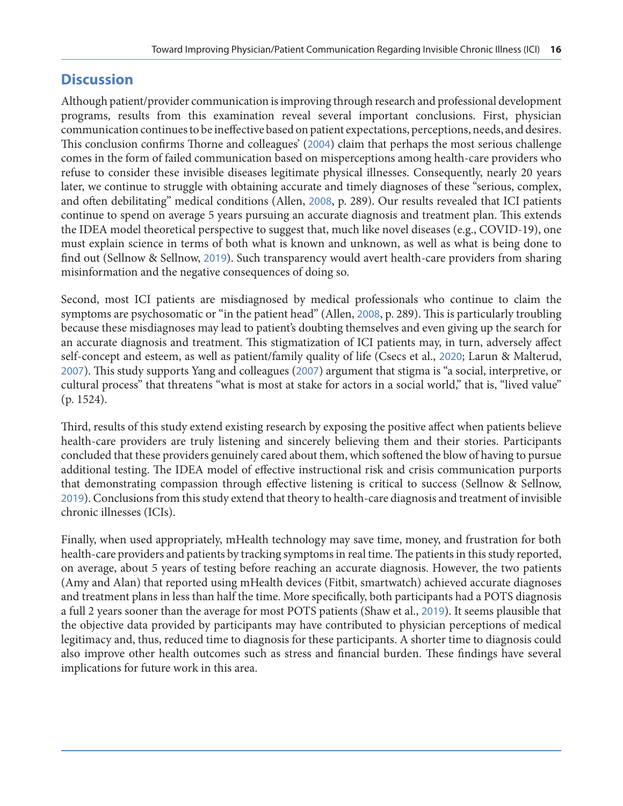# **Discussion**

Although patient/provider communication is improving through research and professional development programs, results from this examination reveal several important conclusions. First, physician communication continues to be ineffective based on patient expectations, perceptions, needs, and desires. This conclusion confirms Thorne and colleagues' ([2004](#page-17-0)) claim that perhaps the most serious challenge comes in the form of failed communication based on misperceptions among health-care providers who refuse to consider these invisible diseases legitimate physical illnesses. Consequently, nearly 20 years later, we continue to struggle with obtaining accurate and timely diagnoses of these "serious, complex, and often debilitating" medical conditions (Allen, [2008](#page-15-0), p. 289). Our results revealed that ICI patients continue to spend on average 5 years pursuing an accurate diagnosis and treatment plan. This extends the IDEA model theoretical perspective to suggest that, much like novel diseases (e.g., COVID-19), one must explain science in terms of both what is known and unknown, as well as what is being done to find out (Sellnow & Sellnow, [2019](#page-17-0)). Such transparency would avert health-care providers from sharing misinformation and the negative consequences of doing so.

Second, most ICI patients are misdiagnosed by medical professionals who continue to claim the symptoms are psychosomatic or "in the patient head" (Allen, [2008](#page-15-0), p. 289). This is particularly troubling because these misdiagnoses may lead to patient's doubting themselves and even giving up the search for an accurate diagnosis and treatment. This stigmatization of ICI patients may, in turn, adversely affect self-concept and esteem, as well as patient/family quality of life (Csecs et al., [2020](#page-15-0); Larun & Malterud, [2007](#page-16-0)). This study supports Yang and colleagues ([2007](#page-17-0)) argument that stigma is "a social, interpretive, or cultural process" that threatens "what is most at stake for actors in a social world," that is, "lived value" (p. 1524).

Third, results of this study extend existing research by exposing the positive affect when patients believe health-care providers are truly listening and sincerely believing them and their stories. Participants concluded that these providers genuinely cared about them, which softened the blow of having to pursue additional testing. The IDEA model of effective instructional risk and crisis communication purports that demonstrating compassion through effective listening is critical to success (Sellnow & Sellnow, [2019](#page-17-0)). Conclusions from this study extend that theory to health-care diagnosis and treatment of invisible chronic illnesses (ICIs).

Finally, when used appropriately, mHealth technology may save time, money, and frustration for both health-care providers and patients by tracking symptoms in real time. The patients in this study reported, on average, about 5 years of testing before reaching an accurate diagnosis. However, the two patients (Amy and Alan) that reported using mHealth devices (Fitbit, smartwatch) achieved accurate diagnoses and treatment plans in less than half the time. More specifically, both participants had a POTS diagnosis a full 2 years sooner than the average for most POTS patients (Shaw et al., [2019](#page-17-0)). It seems plausible that the objective data provided by participants may have contributed to physician perceptions of medical legitimacy and, thus, reduced time to diagnosis for these participants. A shorter time to diagnosis could also improve other health outcomes such as stress and financial burden. These findings have several implications for future work in this area.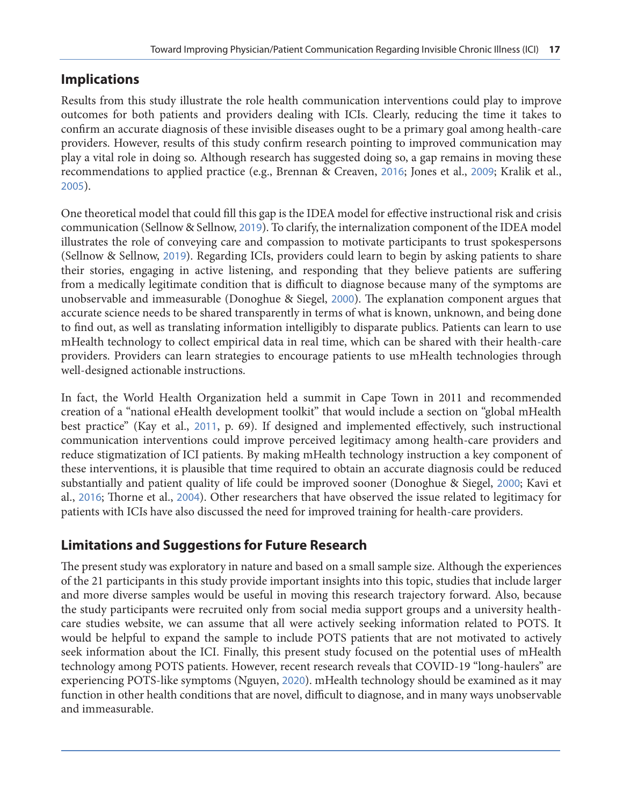### **Implications**

Results from this study illustrate the role health communication interventions could play to improve outcomes for both patients and providers dealing with ICIs. Clearly, reducing the time it takes to confirm an accurate diagnosis of these invisible diseases ought to be a primary goal among health-care providers. However, results of this study confirm research pointing to improved communication may play a vital role in doing so. Although research has suggested doing so, a gap remains in moving these recommendations to applied practice (e.g., Brennan & Creaven, [2016](#page-15-0); Jones et al., [2009](#page-16-0); Kralik et al., [2005](#page-16-0)).

One theoretical model that could fill this gap is the IDEA model for effective instructional risk and crisis communication (Sellnow & Sellnow, [2019](#page-17-0)). To clarify, the internalization component of the IDEA model illustrates the role of conveying care and compassion to motivate participants to trust spokespersons (Sellnow & Sellnow, [2019](#page-17-0)). Regarding ICIs, providers could learn to begin by asking patients to share their stories, engaging in active listening, and responding that they believe patients are suffering from a medically legitimate condition that is difficult to diagnose because many of the symptoms are unobservable and immeasurable (Donoghue & Siegel, [2000](#page-15-0)). The explanation component argues that accurate science needs to be shared transparently in terms of what is known, unknown, and being done to find out, as well as translating information intelligibly to disparate publics. Patients can learn to use mHealth technology to collect empirical data in real time, which can be shared with their health-care providers. Providers can learn strategies to encourage patients to use mHealth technologies through well-designed actionable instructions.

In fact, the World Health Organization held a summit in Cape Town in 2011 and recommended creation of a "national eHealth development toolkit" that would include a section on "global mHealth best practice" (Kay et al., [2011](#page-16-0), p. 69). If designed and implemented effectively, such instructional communication interventions could improve perceived legitimacy among health-care providers and reduce stigmatization of ICI patients. By making mHealth technology instruction a key component of these interventions, it is plausible that time required to obtain an accurate diagnosis could be reduced substantially and patient quality of life could be improved sooner (Donoghue & Siegel, [2000](#page-15-0); Kavi et al., [2016](#page-16-0); Thorne et al., [2004](#page-17-0)). Other researchers that have observed the issue related to legitimacy for patients with ICIs have also discussed the need for improved training for health-care providers.

#### **Limitations and Suggestions for Future Research**

The present study was exploratory in nature and based on a small sample size. Although the experiences of the 21 participants in this study provide important insights into this topic, studies that include larger and more diverse samples would be useful in moving this research trajectory forward. Also, because the study participants were recruited only from social media support groups and a university healthcare studies website, we can assume that all were actively seeking information related to POTS. It would be helpful to expand the sample to include POTS patients that are not motivated to actively seek information about the ICI. Finally, this present study focused on the potential uses of mHealth technology among POTS patients. However, recent research reveals that COVID-19 "long-haulers" are experiencing POTS-like symptoms (Nguyen, [2020](#page-17-0)). mHealth technology should be examined as it may function in other health conditions that are novel, difficult to diagnose, and in many ways unobservable and immeasurable.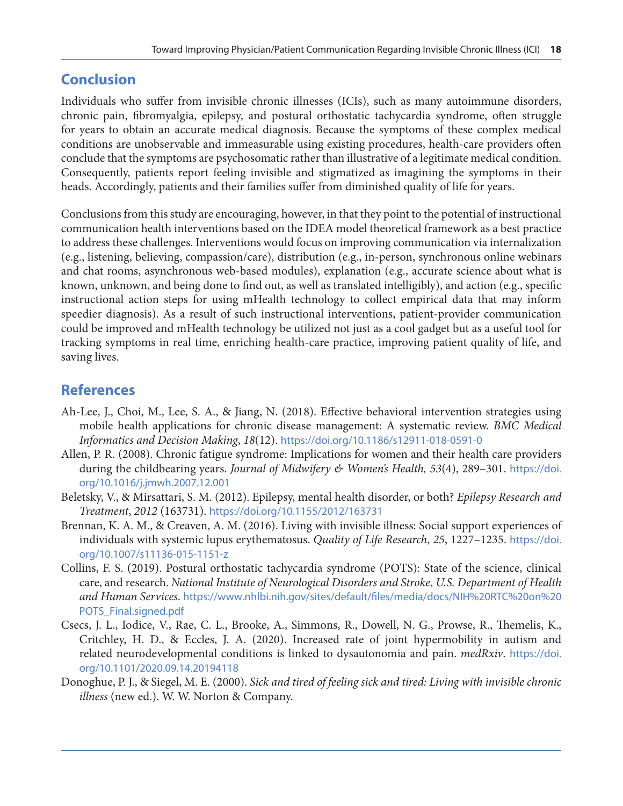### <span id="page-15-0"></span>**Conclusion**

Individuals who suffer from invisible chronic illnesses (ICIs), such as many autoimmune disorders, chronic pain, fibromyalgia, epilepsy, and postural orthostatic tachycardia syndrome, often struggle for years to obtain an accurate medical diagnosis. Because the symptoms of these complex medical conditions are unobservable and immeasurable using existing procedures, health-care providers often conclude that the symptoms are psychosomatic rather than illustrative of a legitimate medical condition. Consequently, patients report feeling invisible and stigmatized as imagining the symptoms in their heads. Accordingly, patients and their families suffer from diminished quality of life for years.

Conclusions from this study are encouraging, however, in that they point to the potential of instructional communication health interventions based on the IDEA model theoretical framework as a best practice to address these challenges. Interventions would focus on improving communication via internalization (e.g., listening, believing, compassion/care), distribution (e.g., in-person, synchronous online webinars and chat rooms, asynchronous web-based modules), explanation (e.g., accurate science about what is known, unknown, and being done to find out, as well as translated intelligibly), and action (e.g., specific instructional action steps for using mHealth technology to collect empirical data that may inform speedier diagnosis). As a result of such instructional interventions, patient-provider communication could be improved and mHealth technology be utilized not just as a cool gadget but as a useful tool for tracking symptoms in real time, enriching health-care practice, improving patient quality of life, and saving lives.

# **References**

- Ah-Lee, J., Choi, M., Lee, S. A., & Jiang, N. (2018). Effective behavioral intervention strategies using mobile health applications for chronic disease management: A systematic review. *BMC Medical Informatics and Decision Making*, *18*(12). <https://doi.org/10.1186/s12911-018-0591-0>
- Allen, P. R. (2008). Chronic fatigue syndrome: Implications for women and their health care providers during the childbearing years. *Journal of Midwifery & Women's Health, 53*(4), 289–301. [https://doi.](https://doi.org/10.1016/j.jmwh.2007.12.001) [org/10.1016/j.jmwh.2007.12.001](https://doi.org/10.1016/j.jmwh.2007.12.001)
- Beletsky, V., & Mirsattari, S. M. (2012). Epilepsy, mental health disorder, or both? *Epilepsy Research and Treatment*, *2012* (163731). <https://doi.org/10.1155/2012/163731>
- Brennan, K. A. M., & Creaven, A. M. (2016). Living with invisible illness: Social support experiences of individuals with systemic lupus erythematosus. *Quality of Life Research*, *25*, 1227–1235. [https://doi.](https://doi.org/10.1007/s11136-015-1151-z) [org/10.1007/s11136-015-1151-z](https://doi.org/10.1007/s11136-015-1151-z)
- Collins, F. S. (2019). Postural orthostatic tachycardia syndrome (POTS): State of the science, clinical care, and research. *National Institute of Neurological Disorders and Stroke*, *U.S. Department of Health and Human Services*. [https://www.nhlbi.nih.gov/sites/default/files/media/docs/NIH%20RTC%20on%20](https://www.nhlbi.nih.gov/sites/default/files/media/docs/NIH%20RTC%20on%20POTS_Final.signed.pdf) [POTS\\_Final.signed.pdf](https://www.nhlbi.nih.gov/sites/default/files/media/docs/NIH%20RTC%20on%20POTS_Final.signed.pdf)
- Csecs, J. L., Iodice, V., Rae, C. L., Brooke, A., Simmons, R., Dowell, N. G., Prowse, R., Themelis, K., Critchley, H. D., & Eccles, J. A. (2020). Increased rate of joint hypermobility in autism and related neurodevelopmental conditions is linked to dysautonomia and pain. *medRxiv*. [https://doi.](https://doi.org/10.1101/2020.09.14.20194118) [org/10.1101/2020.09.14.20194118](https://doi.org/10.1101/2020.09.14.20194118)
- Donoghue, P. J., & Siegel, M. E. (2000). *Sick and tired of feeling sick and tired: Living with invisible chronic illness* (new ed.). W. W. Norton & Company.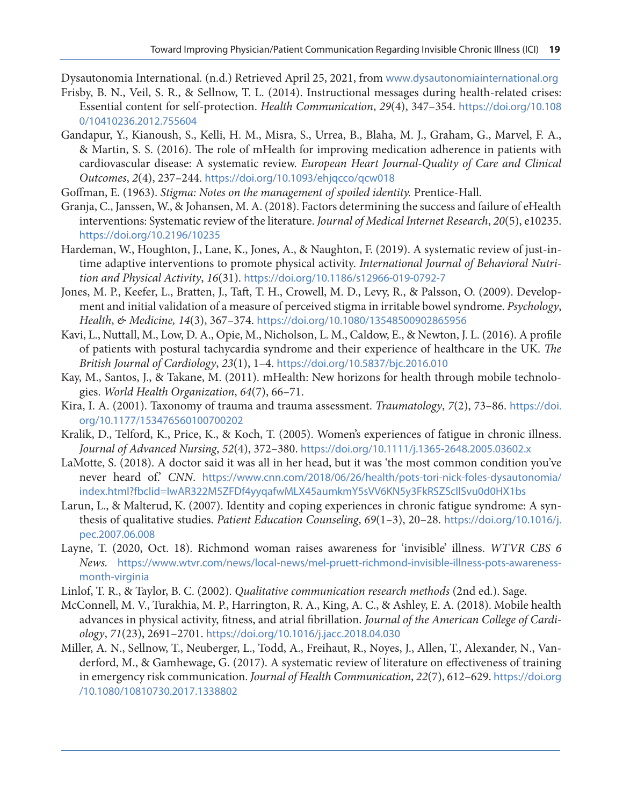<span id="page-16-0"></span>Dysautonomia International. (n.d.) Retrieved April 25, 2021, from [www.dysautonomiainternational.org](http://www.dysautonomiainternational.org)

- Frisby, B. N., Veil, S. R., & Sellnow, T. L. (2014). Instructional messages during health-related crises: Essential content for self-protection. *Health Communication*, *29*(4), 347–354. [https://doi.org/10.108](https://doi.org/10.1080/10410236.2012.755604) [0/10410236.2012.755604](https://doi.org/10.1080/10410236.2012.755604)
- Gandapur, Y., Kianoush, S., Kelli, H. M., Misra, S., Urrea, B., Blaha, M. J., Graham, G., Marvel, F. A., & Martin, S. S. (2016). The role of mHealth for improving medication adherence in patients with cardiovascular disease: A systematic review. *European Heart Journal-Quality of Care and Clinical Outcomes*, *2*(4), 237–244. <https://doi.org/10.1093/ehjqcco/qcw018>
- Goffman, E. (1963). *Stigma: Notes on the management of spoiled identity.* Prentice-Hall.
- Granja, C., Janssen, W., & Johansen, M. A. (2018). Factors determining the success and failure of eHealth interventions: Systematic review of the literature. *Journal of Medical Internet Research*, *20*(5), e10235. <https://doi.org/10.2196/10235>
- Hardeman, W., Houghton, J., Lane, K., Jones, A., & Naughton, F. (2019). A systematic review of just-intime adaptive interventions to promote physical activity. *International Journal of Behavioral Nutrition and Physical Activity*, *16*(31). <https://doi.org/10.1186/s12966-019-0792-7>
- Jones, M. P., Keefer, L., Bratten, J., Taft, T. H., Crowell, M. D., Levy, R., & Palsson, O. (2009). Development and initial validation of a measure of perceived stigma in irritable bowel syndrome. *Psychology*, *Health*, *& Medicine, 14*(3), 367–374. <https://doi.org/10.1080/13548500902865956>
- Kavi, L., Nuttall, M., Low, D. A., Opie, M., Nicholson, L. M., Caldow, E., & Newton, J. L. (2016). A profile of patients with postural tachycardia syndrome and their experience of healthcare in the UK. *The British Journal of Cardiology*, *23*(1), 1–4. <https://doi.org/10.5837/bjc.2016.010>
- Kay, M., Santos, J., & Takane, M. (2011). mHealth: New horizons for health through mobile technologies. *World Health Organization*, *64*(7), 66–71.
- Kira, I. A. (2001). Taxonomy of trauma and trauma assessment. *Traumatology*, *7*(2), 73–86. [https://doi.](https://doi.org/10.1177/153476560100700202) [org/10.1177/153476560100700202](https://doi.org/10.1177/153476560100700202)
- Kralik, D., Telford, K., Price, K., & Koch, T. (2005). Women's experiences of fatigue in chronic illness. *Journal of Advanced Nursing*, *52*(4), 372–380. <https://doi.org/10.1111/j.1365-2648.2005.03602.x>
- LaMotte, S. (2018). A doctor said it was all in her head, but it was 'the most common condition you've never heard of.' *CNN*. [https://www.cnn.com/2018/06/26/health/pots-tori-nick-foles-dysautonomia/](https://www.cnn.com/2018/06/26/health/pots-tori-nick-foles-dysautonomia/index.html?fbclid=IwAR322M5ZFDf4yyqafwMLX45aumkmY5sVV6KN5y3FkRSZScllSvu0d0HX1bs) [index.html?fbclid=IwAR322M5ZFDf4yyqafwMLX45aumkmY5sVV6KN5y3FkRSZScllSvu0d0HX1bs](https://www.cnn.com/2018/06/26/health/pots-tori-nick-foles-dysautonomia/index.html?fbclid=IwAR322M5ZFDf4yyqafwMLX45aumkmY5sVV6KN5y3FkRSZScllSvu0d0HX1bs)
- Larun, L., & Malterud, K. (2007). Identity and coping experiences in chronic fatigue syndrome: A synthesis of qualitative studies. *Patient Education Counseling*, *69*(1–3), 20–28. [https://doi.org/10.1016/j.](https://doi.org/10.1016/j.pec.2007.06.008) [pec.2007.06.008](https://doi.org/10.1016/j.pec.2007.06.008)
- Layne, T. (2020, Oct. 18). Richmond woman raises awareness for 'invisible' illness. *WTVR CBS 6 News.* [https://www.wtvr.com/news/local-news/mel-pruett-richmond-invisible-illness-pots-awareness](https://www.wtvr.com/news/local-news/mel-pruett-richmond-invisible-illness-pots-awareness-
month-virginia)[month-virginia](https://www.wtvr.com/news/local-news/mel-pruett-richmond-invisible-illness-pots-awareness-
month-virginia)
- Linlof, T. R., & Taylor, B. C. (2002). *Qualitative communication research methods* (2nd ed.). Sage.
- McConnell, M. V., Turakhia, M. P., Harrington, R. A., King, A. C., & Ashley, E. A. (2018). Mobile health advances in physical activity, fitness, and atrial fibrillation. *Journal of the American College of Cardiology*, *71*(23), 2691–2701. <https://doi.org/10.1016/j.jacc.2018.04.030>
- Miller, A. N., Sellnow, T., Neuberger, L., Todd, A., Freihaut, R., Noyes, J., Allen, T., Alexander, N., Vanderford, M., & Gamhewage, G. (2017). A systematic review of literature on effectiveness of training in emergency risk communication. *Journal of Health Communication*, *22*(7), 612–629. [https://doi.org](https://doi.org/10.1080/10810730.2017.1338802) [/10.1080/10810730.2017.1338802](https://doi.org/10.1080/10810730.2017.1338802)